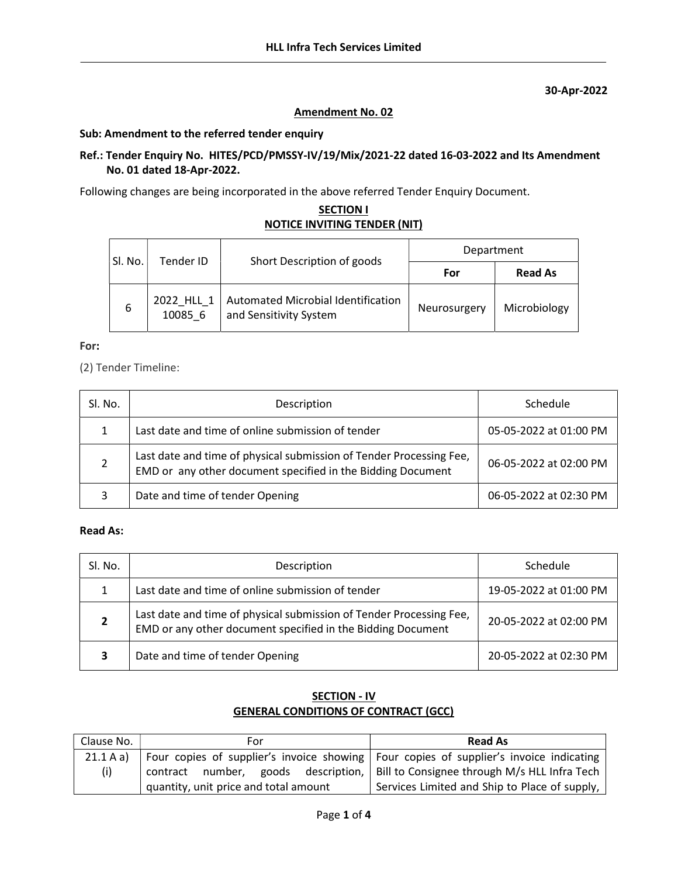30-Apr-2022

### Amendment No. 02

#### Sub: Amendment to the referred tender enquiry

### Ref.: Tender Enquiry No. HITES/PCD/PMSSY-IV/19/Mix/2021-22 dated 16-03-2022 and Its Amendment No. 01 dated 18-Apr-2022.

Following changes are being incorporated in the above referred Tender Enquiry Document.

## **SECTION I** NOTICE INVITING TENDER (NIT)

| Sl. No. | Tender ID             | Short Description of goods                                   | Department   |                |
|---------|-----------------------|--------------------------------------------------------------|--------------|----------------|
|         |                       |                                                              | For          | <b>Read As</b> |
| 6       | 2022 HLL 1<br>10085 6 | Automated Microbial Identification<br>and Sensitivity System | Neurosurgery | Microbiology   |

#### For:

(2) Tender Timeline:

| SI. No. | Description                                                                                                                        | Schedule               |
|---------|------------------------------------------------------------------------------------------------------------------------------------|------------------------|
|         | Last date and time of online submission of tender                                                                                  | 05-05-2022 at 01:00 PM |
|         | Last date and time of physical submission of Tender Processing Fee,<br>EMD or any other document specified in the Bidding Document | 06-05-2022 at 02:00 PM |
| 3       | Date and time of tender Opening                                                                                                    | 06-05-2022 at 02:30 PM |

# Read As:

| SI. No. | Description                                                                                                                        | Schedule               |
|---------|------------------------------------------------------------------------------------------------------------------------------------|------------------------|
|         | Last date and time of online submission of tender                                                                                  | 19-05-2022 at 01:00 PM |
|         | Last date and time of physical submission of Tender Processing Fee,<br>EMD or any other document specified in the Bidding Document | 20-05-2022 at 02:00 PM |
| 3       | Date and time of tender Opening                                                                                                    | 20-05-2022 at 02:30 PM |

# SECTION - IV GENERAL CONDITIONS OF CONTRACT (GCC)

| Clause No. | For                                   | <b>Read As</b>                                                                           |
|------------|---------------------------------------|------------------------------------------------------------------------------------------|
| 21.1 A a)  |                                       | Four copies of supplier's invoice showing   Four copies of supplier's invoice indicating |
| (i)        |                                       | contract number, goods description,   Bill to Consignee through M/s HLL Infra Tech       |
|            | quantity, unit price and total amount | Services Limited and Ship to Place of supply,                                            |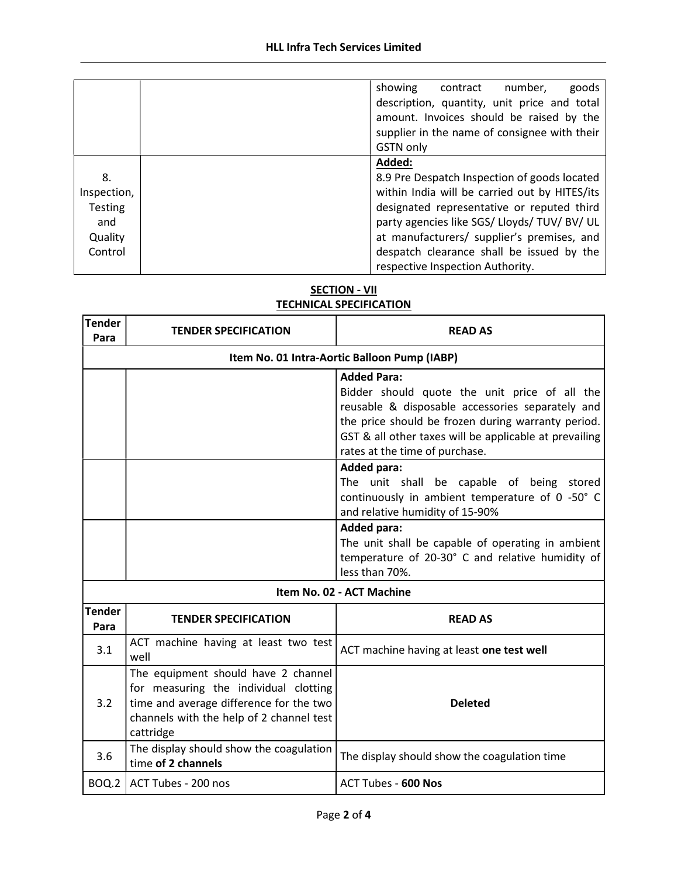|                | number,<br>goods<br>showing<br>contract<br>description, quantity, unit price and total<br>amount. Invoices should be raised by the<br>supplier in the name of consignee with their<br><b>GSTN only</b> |
|----------------|--------------------------------------------------------------------------------------------------------------------------------------------------------------------------------------------------------|
|                | Added:                                                                                                                                                                                                 |
| 8.             | 8.9 Pre Despatch Inspection of goods located                                                                                                                                                           |
| Inspection,    | within India will be carried out by HITES/its                                                                                                                                                          |
| <b>Testing</b> | designated representative or reputed third                                                                                                                                                             |
| and            | party agencies like SGS/ Lloyds/ TUV/ BV/ UL                                                                                                                                                           |
| Quality        | at manufacturers/ supplier's premises, and                                                                                                                                                             |
| Control        | despatch clearance shall be issued by the                                                                                                                                                              |
|                | respective Inspection Authority.                                                                                                                                                                       |

# **SECTION - VII** TECHNICAL SPECIFICATION

| <b>Tender</b><br>Para                        | <b>TENDER SPECIFICATION</b>                                                                                                                                                      | <b>READ AS</b>                                                                                                                                                                                                                                                            |  |
|----------------------------------------------|----------------------------------------------------------------------------------------------------------------------------------------------------------------------------------|---------------------------------------------------------------------------------------------------------------------------------------------------------------------------------------------------------------------------------------------------------------------------|--|
| Item No. 01 Intra-Aortic Balloon Pump (IABP) |                                                                                                                                                                                  |                                                                                                                                                                                                                                                                           |  |
|                                              |                                                                                                                                                                                  | <b>Added Para:</b><br>Bidder should quote the unit price of all the<br>reusable & disposable accessories separately and<br>the price should be frozen during warranty period.<br>GST & all other taxes will be applicable at prevailing<br>rates at the time of purchase. |  |
|                                              |                                                                                                                                                                                  | <b>Added para:</b><br>The unit shall be capable of being stored<br>continuously in ambient temperature of 0 -50° C<br>and relative humidity of 15-90%                                                                                                                     |  |
|                                              |                                                                                                                                                                                  | <b>Added para:</b><br>The unit shall be capable of operating in ambient<br>temperature of 20-30° C and relative humidity of<br>less than 70%.                                                                                                                             |  |
|                                              | Item No. 02 - ACT Machine                                                                                                                                                        |                                                                                                                                                                                                                                                                           |  |
| <b>Tender</b><br>Para                        | <b>TENDER SPECIFICATION</b>                                                                                                                                                      | <b>READ AS</b>                                                                                                                                                                                                                                                            |  |
| 3.1                                          | ACT machine having at least two test<br>well                                                                                                                                     | ACT machine having at least one test well                                                                                                                                                                                                                                 |  |
| 3.2                                          | The equipment should have 2 channel<br>for measuring the individual clotting<br>time and average difference for the two<br>channels with the help of 2 channel test<br>cattridge | <b>Deleted</b>                                                                                                                                                                                                                                                            |  |
| 3.6                                          | The display should show the coagulation<br>time of 2 channels                                                                                                                    | The display should show the coagulation time                                                                                                                                                                                                                              |  |
| BOQ.2                                        | ACT Tubes - 200 nos                                                                                                                                                              | <b>ACT Tubes - 600 Nos</b>                                                                                                                                                                                                                                                |  |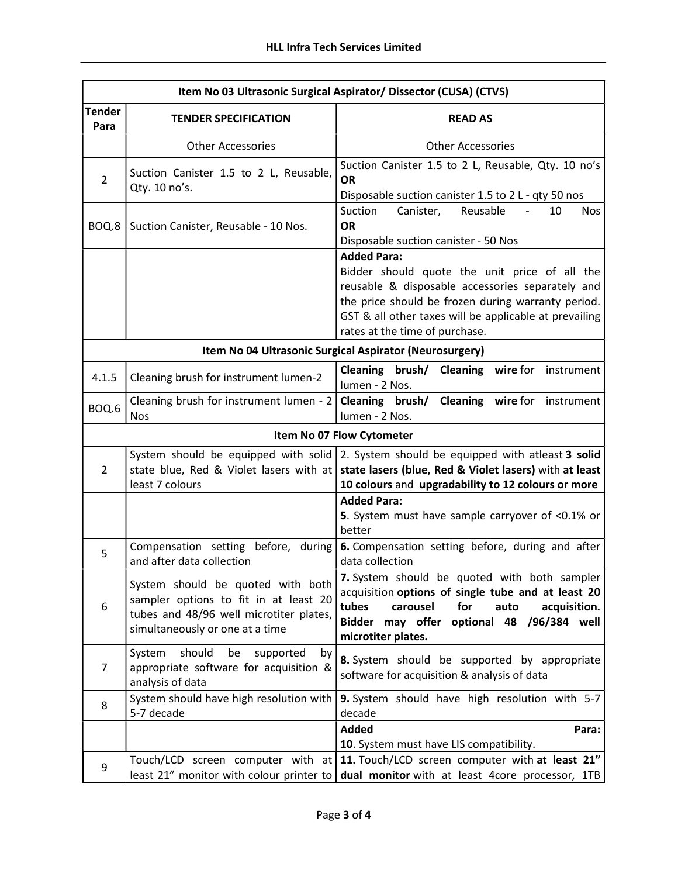| Item No 03 Ultrasonic Surgical Aspirator/ Dissector (CUSA) (CTVS) |                                                                                                                                                          |                                                                                                                                                                                                                                                                           |  |
|-------------------------------------------------------------------|----------------------------------------------------------------------------------------------------------------------------------------------------------|---------------------------------------------------------------------------------------------------------------------------------------------------------------------------------------------------------------------------------------------------------------------------|--|
| <b>Tender</b><br>Para                                             | <b>TENDER SPECIFICATION</b>                                                                                                                              | <b>READ AS</b>                                                                                                                                                                                                                                                            |  |
|                                                                   | <b>Other Accessories</b>                                                                                                                                 | <b>Other Accessories</b>                                                                                                                                                                                                                                                  |  |
| $\overline{2}$                                                    | Suction Canister 1.5 to 2 L, Reusable,<br>Qty. 10 no's.                                                                                                  | Suction Canister 1.5 to 2 L, Reusable, Qty. 10 no's<br><b>OR</b><br>Disposable suction canister 1.5 to 2 L - qty 50 nos                                                                                                                                                   |  |
| BOQ.8                                                             | Suction Canister, Reusable - 10 Nos.                                                                                                                     | Reusable<br>Suction<br>Canister,<br>10<br><b>Nos</b><br><b>OR</b><br>Disposable suction canister - 50 Nos                                                                                                                                                                 |  |
|                                                                   |                                                                                                                                                          | <b>Added Para:</b><br>Bidder should quote the unit price of all the<br>reusable & disposable accessories separately and<br>the price should be frozen during warranty period.<br>GST & all other taxes will be applicable at prevailing<br>rates at the time of purchase. |  |
|                                                                   |                                                                                                                                                          | Item No 04 Ultrasonic Surgical Aspirator (Neurosurgery)                                                                                                                                                                                                                   |  |
| 4.1.5                                                             | Cleaning brush for instrument lumen-2                                                                                                                    | Cleaning brush/ Cleaning<br>wire for<br>instrument<br>lumen - 2 Nos.                                                                                                                                                                                                      |  |
| BOQ.6                                                             | Cleaning brush for instrument lumen - 2<br><b>Nos</b>                                                                                                    | Cleaning brush/<br><b>Cleaning</b> wire for<br>instrument<br>lumen - 2 Nos.                                                                                                                                                                                               |  |
|                                                                   |                                                                                                                                                          | Item No 07 Flow Cytometer                                                                                                                                                                                                                                                 |  |
| $\overline{2}$                                                    | state blue, Red & Violet lasers with at<br>least 7 colours                                                                                               | System should be equipped with solid 2. System should be equipped with atleast 3 solid<br>state lasers (blue, Red & Violet lasers) with at least<br>10 colours and upgradability to 12 colours or more                                                                    |  |
|                                                                   |                                                                                                                                                          | <b>Added Para:</b><br>5. System must have sample carryover of <0.1% or<br>better                                                                                                                                                                                          |  |
| 5                                                                 | Compensation setting<br>before, during<br>and after data collection                                                                                      | 6. Compensation setting before, during and after<br>data collection                                                                                                                                                                                                       |  |
| 6                                                                 | System should be quoted with both<br>sampler options to fit in at least 20<br>tubes and 48/96 well microtiter plates,<br>simultaneously or one at a time | 7. System should be quoted with both sampler<br>acquisition options of single tube and at least 20<br>tubes<br>for<br>carousel<br>acquisition.<br>auto<br>Bidder may offer optional 48 /96/384 well<br>microtiter plates.                                                 |  |
| $\overline{7}$                                                    | should<br>System<br>supported<br>by<br>be<br>appropriate software for acquisition &<br>analysis of data                                                  | 8. System should be supported by appropriate<br>software for acquisition & analysis of data                                                                                                                                                                               |  |
| 8                                                                 | System should have high resolution with<br>5-7 decade                                                                                                    | 9. System should have high resolution with 5-7<br>decade                                                                                                                                                                                                                  |  |
|                                                                   |                                                                                                                                                          | <b>Added</b><br>Para:<br>10. System must have LIS compatibility.                                                                                                                                                                                                          |  |
| 9                                                                 | Touch/LCD screen computer with at<br>least 21" monitor with colour printer to                                                                            | 11. Touch/LCD screen computer with at least 21"<br>dual monitor with at least 4core processor, 1TB                                                                                                                                                                        |  |